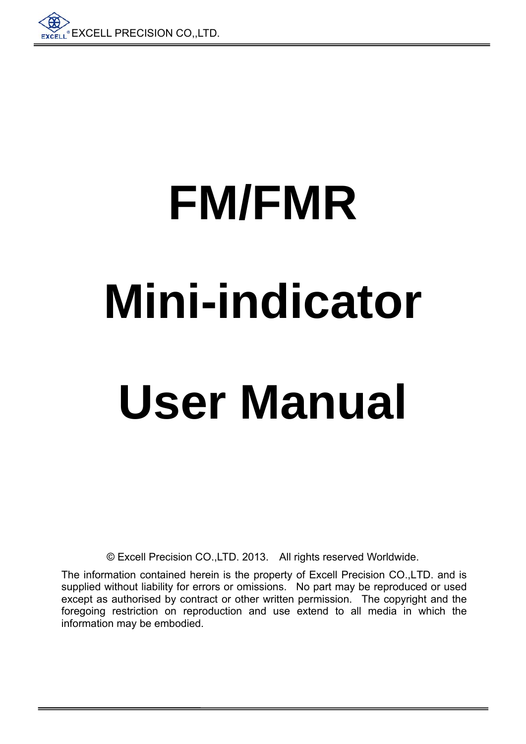

# **FM/FMR Mini-indicator User Manual**

© Excell Precision CO.,LTD. 2013. All rights reserved Worldwide.

The information contained herein is the property of Excell Precision CO.,LTD. and is supplied without liability for errors or omissions. No part may be reproduced or used except as authorised by contract or other written permission. The copyright and the foregoing restriction on reproduction and use extend to all media in which the information may be embodied.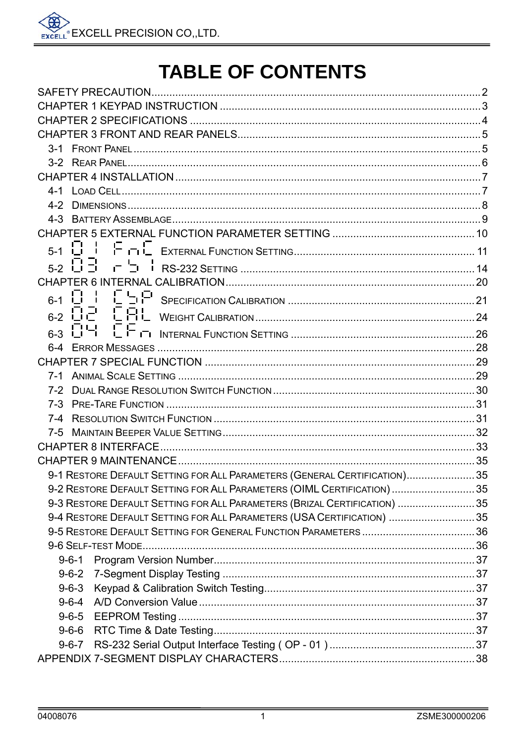# **TABLE OF CONTENTS**

| 9-1 RESTORE DEFAULT SETTING FOR ALL PARAMETERS (GENERAL CERTIFICATION) 35 |  |
|---------------------------------------------------------------------------|--|
| 9-2 RESTORE DEFAULT SETTING FOR ALL PARAMETERS (OIML CERTIFICATION)35     |  |
| 9-3 RESTORE DEFAULT SETTING FOR ALL PARAMETERS (BRIZAL CERTIFICATION)  35 |  |
| 9-4 RESTORE DEFAULT SETTING FOR ALL PARAMETERS (USA CERTIFICATION) 35     |  |
|                                                                           |  |
|                                                                           |  |
| $9 - 6 - 1$                                                               |  |
| $9 - 6 - 2$                                                               |  |
| $9 - 6 - 3$                                                               |  |
| $9 - 6 - 4$                                                               |  |
| $9 - 6 - 5$                                                               |  |
|                                                                           |  |
| $9 - 6 - 7$                                                               |  |
|                                                                           |  |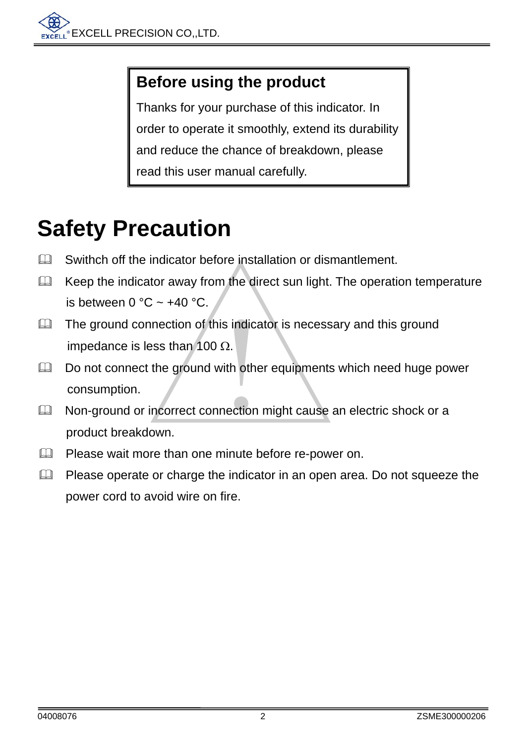## **Before using the product**

Thanks for your purchase of this indicator. In order to operate it smoothly, extend its durability and reduce the chance of breakdown, please read this user manual carefully.

# **Safety Precaution**

- **Combin Swithch off the indicator before installation or dismantlement.**
- EQ Keep the indicator away from the direct sun light. The operation temperature is between 0  $\degree$ C ~ +40  $\degree$ C.
- $\Box$  The ground connection of this indicator is necessary and this ground impedance is less than 100  $Ω$ .
- Do not connect the ground with other equipments which need huge power consumption.
- **Example 20** Non-ground or incorrect connection might cause an electric shock or a product breakdown.
- **Example 20** Please wait more than one minute before re-power on.
- **Example 20 Please operate or charge the indicator in an open area. Do not squeeze the** power cord to avoid wire on fire.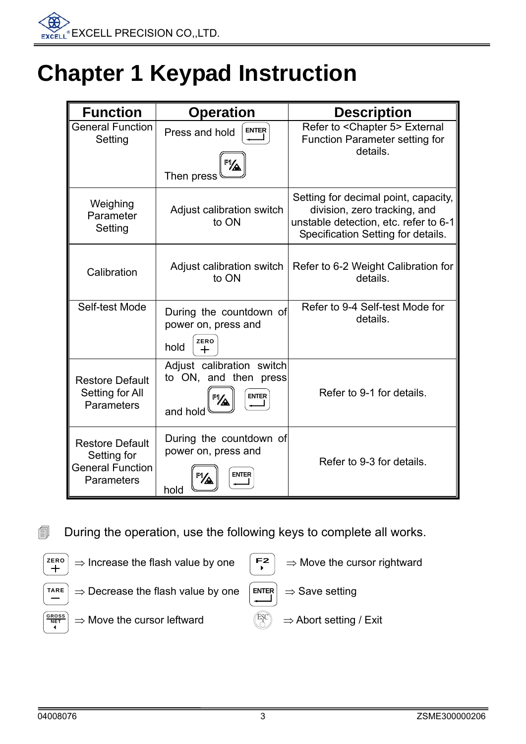# **Chapter 1 Keypad Instruction**

| <b>Function</b>                                                                | <b>Operation</b>                                                                     | <b>Description</b>                                                                                                                                  |
|--------------------------------------------------------------------------------|--------------------------------------------------------------------------------------|-----------------------------------------------------------------------------------------------------------------------------------------------------|
| <b>General Function</b><br>Setting                                             | <b>ENTER</b><br>Press and hold<br>™∕a<br>Then press                                  | Refer to <chapter 5=""> External<br/><b>Function Parameter setting for</b><br/>details.</chapter>                                                   |
| Weighing<br>Parameter<br>Setting                                               | Adjust calibration switch<br>to ON                                                   | Setting for decimal point, capacity,<br>division, zero tracking, and<br>unstable detection, etc. refer to 6-1<br>Specification Setting for details. |
| Calibration                                                                    | Adjust calibration switch<br>to ON                                                   | Refer to 6-2 Weight Calibration for<br>details.                                                                                                     |
| Self-test Mode                                                                 | During the countdown of<br>power on, press and<br>ZERO<br>hold<br>$\div$             | Refer to 9-4 Self-test Mode for<br>details.                                                                                                         |
| <b>Restore Default</b><br>Setting for All<br>Parameters                        | Adjust calibration switch<br>to ON, and then press<br><b>ENTER</b><br>7Α<br>and hold | Refer to 9-1 for details.                                                                                                                           |
| <b>Restore Default</b><br>Setting for<br><b>General Function</b><br>Parameters | During the countdown of<br>power on, press and<br><b>ENTER</b><br>76<br>hold         | Refer to 9-3 for details.                                                                                                                           |

- **I** During the operation, use the following keys to complete all works.
- 
- $\overline{Z_{E}^{RQ}} \Rightarrow$  Increase the flash value by one  $\overline{F^2}$   $\Rightarrow$  Move the cursor rightward
- $F<sub>2</sub>$ 
	- $\Rightarrow$  Decrease the flash value by one  $\left[\right]$  => Save setting **TARE**
- **ENTER**
- 
- ⇒ Move the cursor leftward ⇒ Abort setting / Exit **GROSS**  ESC

**NET**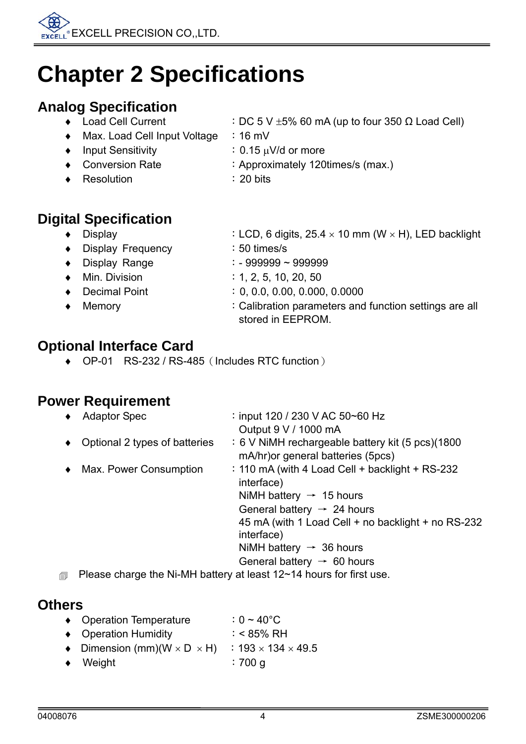

# **Chapter 2 Specifications**

## **Analog Specification**

- ♦ Load Cell Current :DC 5 V ±5% 60 mA (up to four 350 Ω Load Cell)
- ◆ Max. Load Cell Input Voltage : 16 mV
- 
- 
- 
- ♦ Input Sensitivity :0.15 μV/d or more
- ◆ Conversion Rate : Approximately 120times/s (max.)
- ◆ Resolution : 20 bits

# **Digital Specification**

- $\bullet$  Display  $\bullet$  Display : LCD, 6 digits, 25.4  $\times$  10 mm (W  $\times$  H), LED backlight
- ♦ Display Frequency :50 times/s
- ♦ Display Range :- 999999 ~ 999999
- ◆ Min. Division : 1, 2, 5, 10, 20, 50
- ♦ Decimal Point :0, 0.0, 0.00, 0.000, 0.0000
- 
- ♦ Memory :Calibration parameters and function settings are all stored in EEPROM.

## **Optional Interface Card**

♦ OP-01 RS-232 / RS-485(Includes RTC function)

### **Power Requirement**

| $\bullet$ | <b>Adaptor Spec</b>           | : input 120 / 230 V AC 50~60 Hz                                                         |
|-----------|-------------------------------|-----------------------------------------------------------------------------------------|
|           |                               | Output 9 V / 1000 mA                                                                    |
| $\bullet$ | Optional 2 types of batteries | : 6 V NiMH rechargeable battery kit (5 pcs) (1800<br>mA/hr) or general batteries (5pcs) |
| $\bullet$ | Max. Power Consumption        | : 110 mA (with 4 Load Cell + backlight + RS-232<br>interface)                           |
|           |                               | NiMH battery $\rightarrow$ 15 hours                                                     |
|           |                               | General battery $\rightarrow$ 24 hours                                                  |
|           |                               | 45 mA (with 1 Load Cell + no backlight + no RS-232<br>interface)                        |
|           |                               | NiMH battery $\rightarrow$ 36 hours                                                     |
|           |                               | General battery $\rightarrow$ 60 hours                                                  |
| 卣         |                               | Please charge the Ni-MH battery at least $12 \sim 14$ hours for first use.              |

### **Others**

 ♦ Operation Temperature :0 ~ 40°C ♦ Operation Humidity :< 85% RH  $\bullet$  Dimension (mm)(W  $\times$  D  $\times$  H) : 193  $\times$  134  $\times$  49.5 ♦ Weight :700 g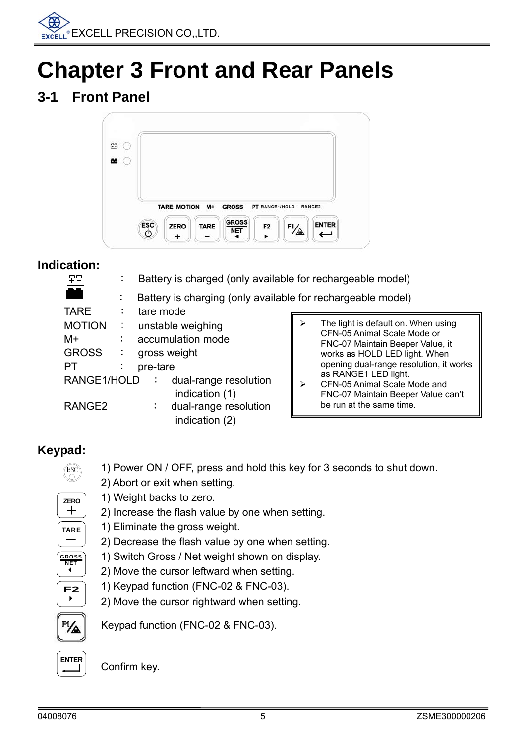# **Chapter 3 Front and Rear Panels**

## **3-1 Front Panel**



#### **Indication:**

FF-1

: Battery is charged (only available for rechargeable model)

| M<br><b>TARE</b>                                                               | Battery is charging (only available for rechargeable model)<br>tare mode                                                                                                   |                                                                                                                                                                                                                                                                                                                   |
|--------------------------------------------------------------------------------|----------------------------------------------------------------------------------------------------------------------------------------------------------------------------|-------------------------------------------------------------------------------------------------------------------------------------------------------------------------------------------------------------------------------------------------------------------------------------------------------------------|
| <b>MOTION</b><br>M+<br><b>GROSS</b><br>PТ<br>RANGE1/HOLD<br>RANGE <sub>2</sub> | unstable weighing<br>accumulation mode<br>gross weight<br>$\ddot{\cdot}$<br>pre-tare<br>dual-range resolution<br>$\ddot{\cdot}$<br>indication (1)<br>dual-range resolution | The light is default on. When using<br>CFN-05 Animal Scale Mode or<br>FNC-07 Maintain Beeper Value, it<br>works as HOLD LED light. When<br>opening dual-range resolution, it works<br>as RANGE1 LED light.<br>CFN-05 Animal Scale Mode and<br>⊳<br>FNC-07 Maintain Beeper Value can't<br>be run at the same time. |
|                                                                                | indication (2)                                                                                                                                                             |                                                                                                                                                                                                                                                                                                                   |

### **Keypad:**

- 1) Power ON / OFF, press and hold this key for 3 seconds to shut down.
- 2) Abort or exit when setting.



(ESC<br>Vo

- 1) Weight backs to zero.
- $+$  | 2) Increase the flash value by one when setting.
	- 1) Eliminate the gross weight.
	- 2) Decrease the flash value by one when setting.
	- 1) Switch Gross / Net weight shown on display.
	- 2) Move the cursor leftward when setting.
	- 1) Keypad function (FNC-02 & FNC-03).
	- 2) Move the cursor rightward when setting.



**F2**   $\bullet$ 

**GROSS NET**   $\blacktriangleleft$ 

 $\mathbb{F}\mathscr{U}_{\mathbb{A}}$  Keypad function (FNC-02 & FNC-03).



Confirm key.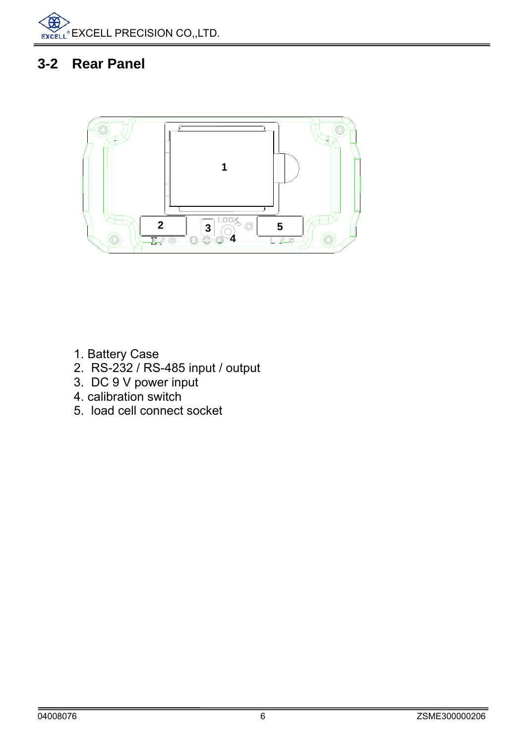

## **3-2 Rear Panel**



- 1. Battery Case
- 2. RS-232 / RS-485 input / output
- 3. DC 9 V power input
	- 4. calibration switch
	- 5. load cell connect socket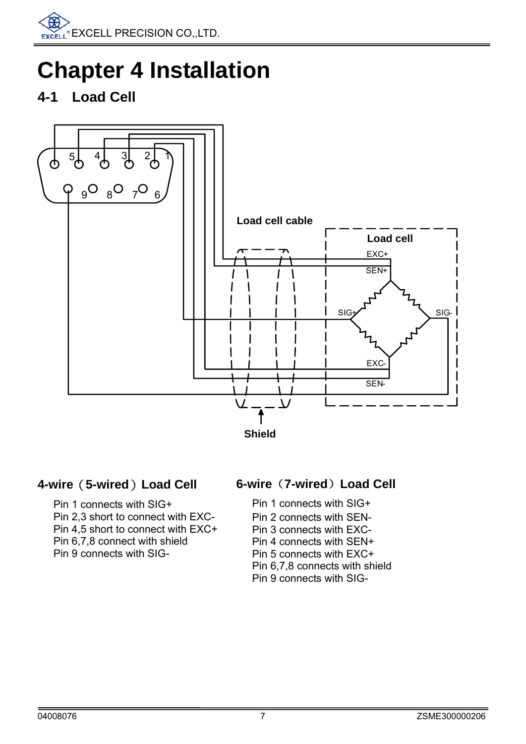# **Chapter 4 Installation**

## **4-1 Load Cell**



## **4-wire**(**5-wired**)**Load Cell**

 Pin 1 connects with SIG+ Pin 2,3 short to connect with EXC- Pin 4,5 short to connect with EXC+

Pin 6,7,8 connect with shield

Pin 9 connects with SIG-

## **6-wire**(**7-wired**)**Load Cell**

- Pin 1 connects with SIG+
- Pin 2 connects with SEN-
- Pin 3 connects with EXC-
- Pin 4 connects with SEN+
- Pin 5 connects with EXC+
- Pin 6,7,8 connects with shield
- Pin 9 connects with SIG-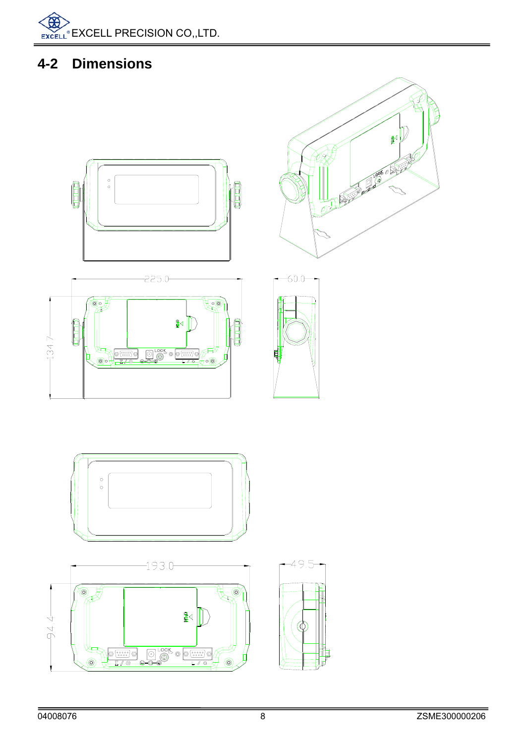

## **4-2 Dimensions**









 $-49.5-$ 

C





 $-134.7-$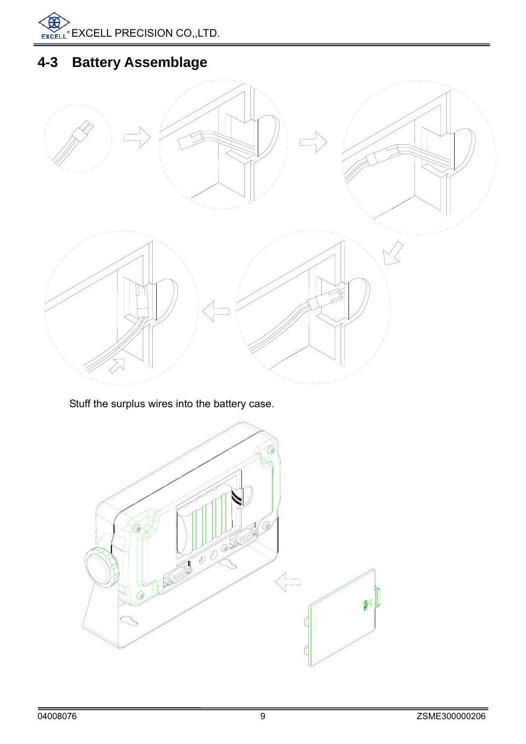

## **4-3 Battery Assemblage**



Stuff the surplus wires into the battery case.

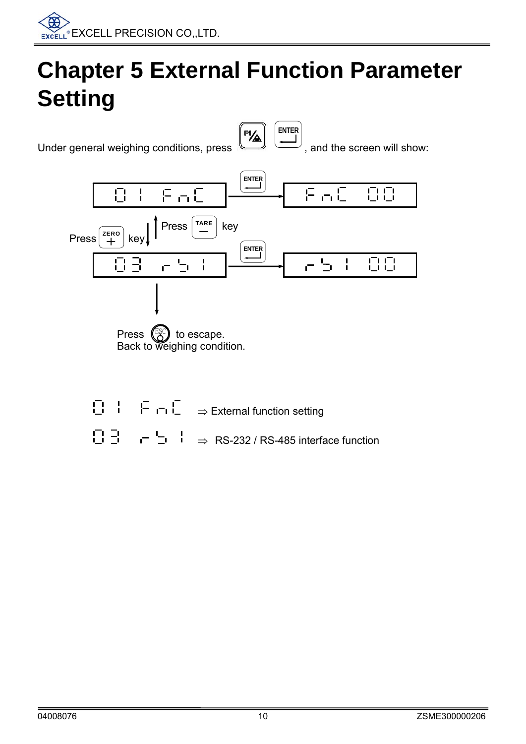# **Chapter 5 External Function Parameter Setting**

Under general weighing conditions, press  $\left[\begin{matrix} \mathbb{F} \mathcal{V}_{\Delta} \\ \mathbb{F} \end{matrix}\right]$  and the screen will show:





 $\begin{bmatrix} 1 & 1 \\ 1 & 1 \end{bmatrix}$   $\begin{bmatrix} 1 & 1 \\ 1 & 1 \end{bmatrix}$   $\begin{bmatrix} 1 & 1 \\ 1 & 1 \end{bmatrix}$   $\begin{bmatrix} 1 & 1 \\ 1 & 1 \end{bmatrix}$   $\begin{bmatrix} 1 & 1 \\ 1 & 1 \end{bmatrix}$   $\begin{bmatrix} 1 & 1 \\ 1 & 1 \end{bmatrix}$   $\begin{bmatrix} 1 & 1 \\ 1 & 1 \end{bmatrix}$   $\begin{bmatrix} 1 & 1 \\ 1 & 1 \end{bmatrix}$   $\begin{bmatrix} 1 & 1$  $\begin{array}{ccc} \Box & \Box & \Box & \Box & \Box & \Box & \Box & \Box & \Box & \Box & \Box & \Box & \end{array}$  RS-232 / RS-485 interface function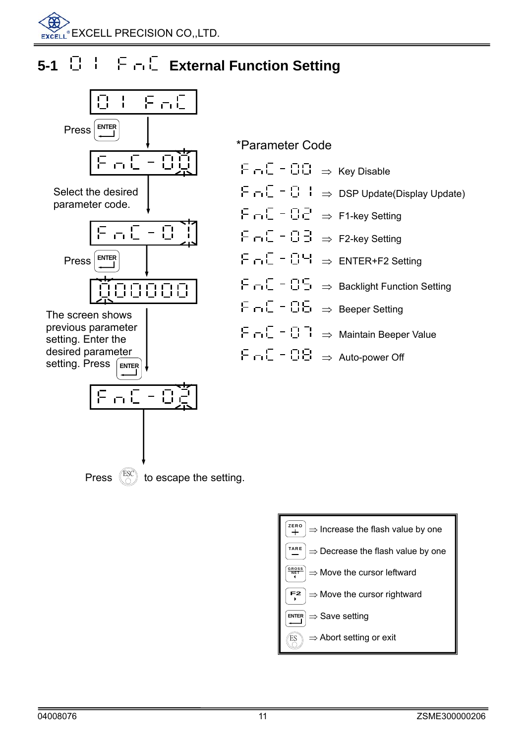## **5-1 External Function Setting**



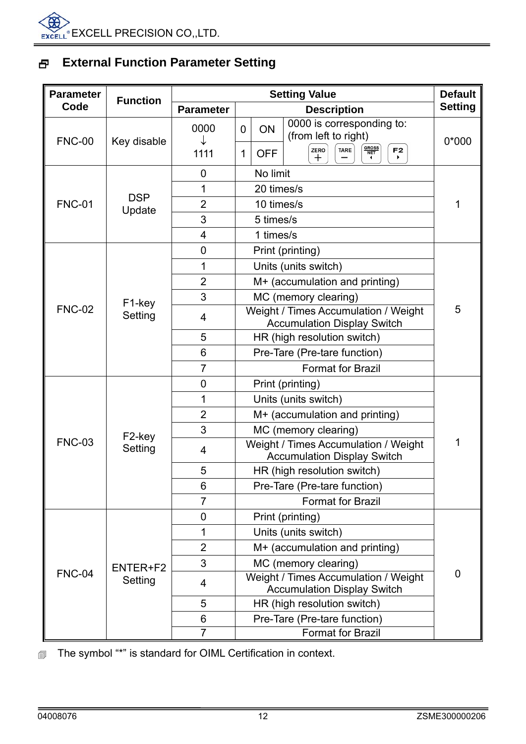## **External Function Parameter Setting**

| <b>Parameter</b> | <b>Function</b>     |                  | <b>Setting Value</b>                                                                                                                                                                                    | <b>Default</b> |  |  |  |  |  |
|------------------|---------------------|------------------|---------------------------------------------------------------------------------------------------------------------------------------------------------------------------------------------------------|----------------|--|--|--|--|--|
| Code             |                     | <b>Parameter</b> | <b>Description</b>                                                                                                                                                                                      | <b>Setting</b> |  |  |  |  |  |
| <b>FNC-00</b>    | Key disable         | 0000<br>1111     | 0000 is corresponding to:<br>ON<br>$\overline{0}$<br>(from left to right)<br><b>GROSS</b><br>NET<br>ZERO<br><b>TARE</b><br>F <sub>2</sub><br>$\mathbf{1}$<br><b>OFF</b><br>$+$<br>$\blacktriangleright$ | $0*000$        |  |  |  |  |  |
|                  |                     | 0                | No limit                                                                                                                                                                                                |                |  |  |  |  |  |
|                  |                     | 1                | 20 times/s                                                                                                                                                                                              |                |  |  |  |  |  |
| <b>FNC-01</b>    | <b>DSP</b>          | $\overline{2}$   | 10 times/s                                                                                                                                                                                              | 1              |  |  |  |  |  |
|                  | Update              | 3                | 5 times/s                                                                                                                                                                                               |                |  |  |  |  |  |
|                  |                     | $\overline{4}$   | 1 times/s                                                                                                                                                                                               |                |  |  |  |  |  |
|                  |                     | 0                | Print (printing)                                                                                                                                                                                        |                |  |  |  |  |  |
|                  |                     | 1                | Units (units switch)                                                                                                                                                                                    |                |  |  |  |  |  |
|                  |                     | $\overline{2}$   | M+ (accumulation and printing)                                                                                                                                                                          |                |  |  |  |  |  |
|                  | F1-key              | 3                | MC (memory clearing)                                                                                                                                                                                    |                |  |  |  |  |  |
| <b>FNC-02</b>    | Setting             | 4                | Weight / Times Accumulation / Weight<br><b>Accumulation Display Switch</b>                                                                                                                              | 5              |  |  |  |  |  |
|                  |                     | 5                | HR (high resolution switch)                                                                                                                                                                             |                |  |  |  |  |  |
|                  |                     | 6                | Pre-Tare (Pre-tare function)                                                                                                                                                                            |                |  |  |  |  |  |
|                  |                     | $\overline{7}$   | <b>Format for Brazil</b>                                                                                                                                                                                |                |  |  |  |  |  |
|                  |                     | $\mathbf 0$      | Print (printing)                                                                                                                                                                                        |                |  |  |  |  |  |
|                  |                     | 1                | Units (units switch)                                                                                                                                                                                    |                |  |  |  |  |  |
|                  |                     | $\overline{2}$   | M+ (accumulation and printing)                                                                                                                                                                          |                |  |  |  |  |  |
|                  | F <sub>2</sub> -key | 3                | MC (memory clearing)                                                                                                                                                                                    |                |  |  |  |  |  |
| <b>FNC-03</b>    | Setting             | 4                | Weight / Times Accumulation / Weight<br><b>Accumulation Display Switch</b>                                                                                                                              | 1              |  |  |  |  |  |
|                  |                     | 5                | HR (high resolution switch)                                                                                                                                                                             |                |  |  |  |  |  |
|                  |                     | 6                | Pre-Tare (Pre-tare function)                                                                                                                                                                            |                |  |  |  |  |  |
|                  |                     | $\overline{7}$   | <b>Format for Brazil</b>                                                                                                                                                                                |                |  |  |  |  |  |
|                  |                     | 0                | Print (printing)                                                                                                                                                                                        |                |  |  |  |  |  |
|                  |                     | 1                | Units (units switch)                                                                                                                                                                                    |                |  |  |  |  |  |
|                  |                     | $\overline{2}$   | M+ (accumulation and printing)                                                                                                                                                                          |                |  |  |  |  |  |
| <b>FNC-04</b>    | ENTER+F2            | 3                | MC (memory clearing)                                                                                                                                                                                    | 0              |  |  |  |  |  |
|                  | Setting             | 4                | Weight / Times Accumulation / Weight<br><b>Accumulation Display Switch</b>                                                                                                                              |                |  |  |  |  |  |
|                  |                     | 5                | HR (high resolution switch)                                                                                                                                                                             |                |  |  |  |  |  |
|                  |                     | 6                | Pre-Tare (Pre-tare function)                                                                                                                                                                            |                |  |  |  |  |  |
|                  |                     | 7                | <b>Format for Brazil</b>                                                                                                                                                                                |                |  |  |  |  |  |

The symbol "\*" is standard for OIML Certification in context.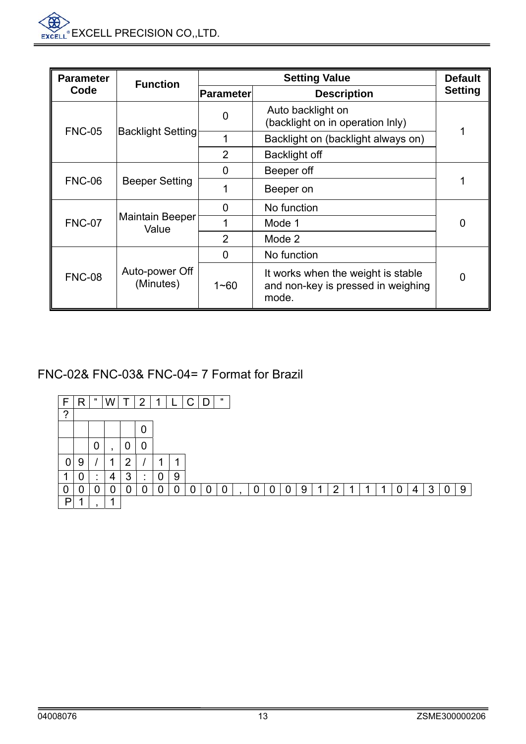| <b>Parameter</b> | <b>Function</b>                 |                  | <b>Setting Value</b>                                                              | <b>Default</b> |  |  |  |
|------------------|---------------------------------|------------------|-----------------------------------------------------------------------------------|----------------|--|--|--|
| Code             |                                 | <b>Parameter</b> | <b>Description</b>                                                                | <b>Setting</b> |  |  |  |
| <b>FNC-05</b>    |                                 | 0                | Auto backlight on<br>(backlight on in operation lnly)                             |                |  |  |  |
|                  | <b>Backlight Setting</b>        |                  | Backlight on (backlight always on)                                                |                |  |  |  |
|                  |                                 | $\overline{2}$   | <b>Backlight off</b>                                                              |                |  |  |  |
|                  |                                 | 0                | Beeper off                                                                        |                |  |  |  |
| <b>FNC-06</b>    | Beeper Setting                  |                  | Beeper on                                                                         |                |  |  |  |
|                  |                                 | $\Omega$         | No function                                                                       |                |  |  |  |
| <b>FNC-07</b>    | <b>Maintain Beeper</b><br>Value |                  | Mode 1                                                                            | 0              |  |  |  |
|                  |                                 | 2                | Mode 2                                                                            |                |  |  |  |
|                  |                                 | 0                | No function                                                                       |                |  |  |  |
| <b>FNC-08</b>    | Auto-power Off<br>(Minutes)     | $1 - 60$         | It works when the weight is stable<br>and non-key is pressed in weighing<br>mode. | 0              |  |  |  |

## FNC-02& FNC-03& FNC-04= 7 Format for Brazil

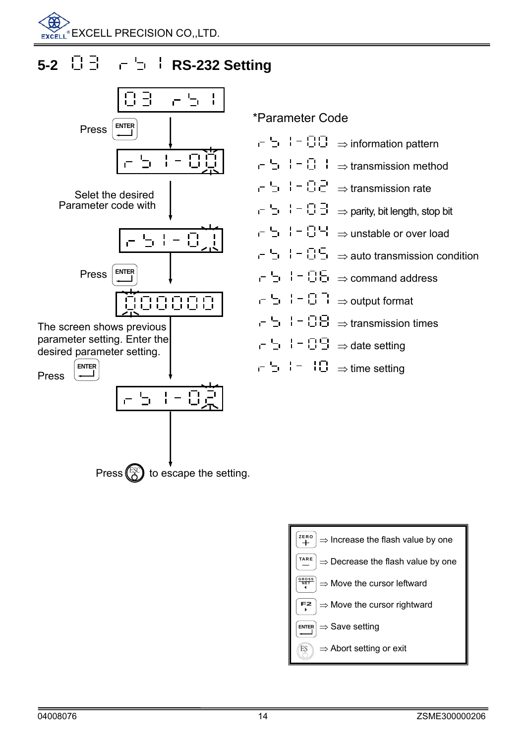## **5-2**  $\overline{C}$  $\overline{C}$  $\overline{C}$  $\overline{C}$  $\overline{C}$  $\overline{C}$  **<b>RS-232 Setting**



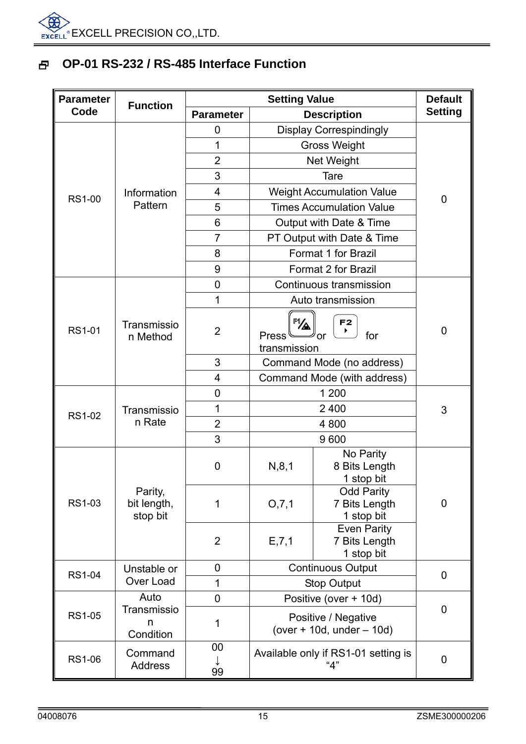

## **OP-01 RS-232 / RS-485 Interface Function**

| <b>Parameter</b> | <b>Function</b>                    |                  | <b>Setting Value</b>                                  |                                                   |                |  |  |  |  |  |  |
|------------------|------------------------------------|------------------|-------------------------------------------------------|---------------------------------------------------|----------------|--|--|--|--|--|--|
| Code             |                                    | <b>Parameter</b> |                                                       | <b>Description</b>                                | <b>Setting</b> |  |  |  |  |  |  |
|                  |                                    | 0                |                                                       | <b>Display Correspindingly</b>                    |                |  |  |  |  |  |  |
|                  |                                    | 1                |                                                       | <b>Gross Weight</b>                               |                |  |  |  |  |  |  |
|                  |                                    | $\overline{2}$   |                                                       | Net Weight                                        |                |  |  |  |  |  |  |
|                  |                                    | 3                |                                                       |                                                   |                |  |  |  |  |  |  |
| <b>RS1-00</b>    | Information                        | 4                |                                                       | <b>Weight Accumulation Value</b>                  | 0              |  |  |  |  |  |  |
|                  | Pattern                            | 5                |                                                       |                                                   |                |  |  |  |  |  |  |
|                  |                                    | 6                |                                                       | Output with Date & Time                           |                |  |  |  |  |  |  |
|                  |                                    | $\overline{7}$   |                                                       | PT Output with Date & Time                        |                |  |  |  |  |  |  |
|                  |                                    | 8                | Format 1 for Brazil                                   |                                                   |                |  |  |  |  |  |  |
|                  |                                    | 9                |                                                       | Format 2 for Brazil                               |                |  |  |  |  |  |  |
|                  |                                    | 0                |                                                       | Continuous transmission                           |                |  |  |  |  |  |  |
|                  |                                    | 1                |                                                       | Auto transmission                                 |                |  |  |  |  |  |  |
| <b>RS1-01</b>    | Transmissio<br>n Method            | $\overline{2}$   | ™∕a<br>Press <sup>&amp;</sup><br>⊉'or<br>transmission | 0                                                 |                |  |  |  |  |  |  |
|                  |                                    | 3                |                                                       | Command Mode (no address)                         |                |  |  |  |  |  |  |
|                  |                                    | 4                |                                                       | Command Mode (with address)                       |                |  |  |  |  |  |  |
|                  |                                    | 0                |                                                       | 1 200                                             |                |  |  |  |  |  |  |
|                  | Transmissio                        | 1                |                                                       | 3                                                 |                |  |  |  |  |  |  |
| <b>RS1-02</b>    | n Rate                             | $\overline{2}$   |                                                       |                                                   |                |  |  |  |  |  |  |
|                  |                                    | 3                |                                                       | 9600                                              |                |  |  |  |  |  |  |
|                  |                                    | 0                | N, 8, 1                                               | No Parity<br>8 Bits Length<br>1 stop bit          |                |  |  |  |  |  |  |
| <b>RS1-03</b>    | Parity,<br>bit length,<br>stop bit | 1                | O,7,1                                                 | <b>Odd Parity</b><br>7 Bits Length<br>1 stop bit  | $\overline{0}$ |  |  |  |  |  |  |
|                  |                                    | $\overline{2}$   | E, 7, 1                                               | <b>Even Parity</b><br>7 Bits Length<br>1 stop bit |                |  |  |  |  |  |  |
| <b>RS1-04</b>    | Unstable or                        | 0                |                                                       | <b>Continuous Output</b>                          | $\overline{0}$ |  |  |  |  |  |  |
|                  | Over Load                          | 1                |                                                       | <b>Stop Output</b>                                |                |  |  |  |  |  |  |
|                  | Auto                               | 0                |                                                       | Positive (over + 10d)                             |                |  |  |  |  |  |  |
| <b>RS1-05</b>    | Transmissio<br>n<br>Condition      | 1                | Positive / Negative<br>(over $+$ 10d, under $-$ 10d)  | $\overline{0}$                                    |                |  |  |  |  |  |  |
| <b>RS1-06</b>    | Command<br><b>Address</b>          | 00<br>99         |                                                       | Available only if RS1-01 setting is<br>"4"        | 0              |  |  |  |  |  |  |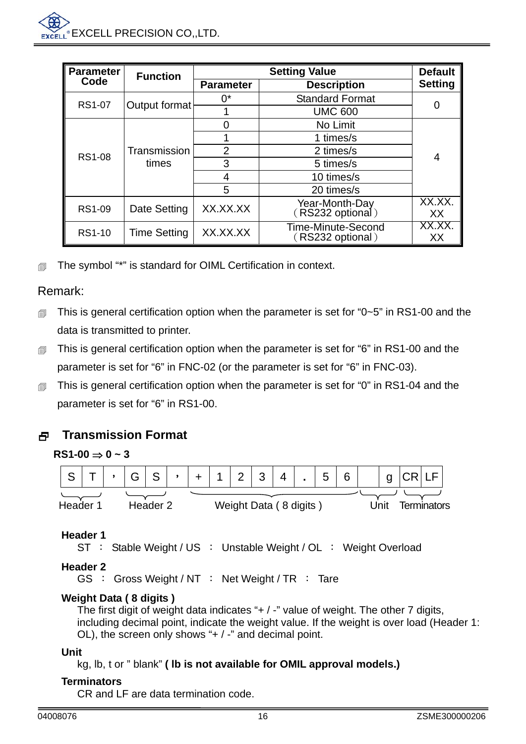| <b>Parameter</b> | <b>Function</b>     |                  | <b>Setting Value</b>                          | <b>Default</b> |
|------------------|---------------------|------------------|-----------------------------------------------|----------------|
| Code             |                     | <b>Parameter</b> | <b>Description</b>                            | <b>Setting</b> |
| <b>RS1-07</b>    | Output format       | $0^*$            | <b>Standard Format</b>                        |                |
|                  |                     |                  | <b>UMC 600</b>                                |                |
|                  |                     | 0                | No Limit                                      |                |
| <b>RS1-08</b>    |                     |                  | 1 times/s                                     |                |
|                  | Transmission        | $\overline{2}$   | 2 times/s                                     | 4              |
|                  | times               | 3                | 5 times/s                                     |                |
|                  |                     | 4                |                                               |                |
|                  |                     | 5                | 20 times/s                                    |                |
| <b>RS1-09</b>    | Date Setting        | XX.XX.XX         | Year-Month-Day<br>(RS232 optional)            | XX.XX.<br>XX   |
| <b>RS1-10</b>    | <b>Time Setting</b> | XX.XX.XX         | <b>Time-Minute-Second</b><br>(RS232 optional) | XX             |

**IFM** The symbol "\*" is standard for OIML Certification in context.

#### Remark:

- This is general certification option when the parameter is set for "0~5" in RS1-00 and the data is transmitted to printer.
- **If all This is general certification option when the parameter is set for "6" in RS1-00 and the** parameter is set for "6" in FNC-02 (or the parameter is set for "6" in FNC-03).
- **This is general certification option when the parameter is set for "0" in RS1-04 and the** parameter is set for "6" in RS1-00.

#### **Transmission Format**

#### $RS1-00 \Rightarrow 0 \sim 3$



#### **Header 2**

GS : Gross Weight / NT : Net Weight / TR : Tare

#### **Weight Data ( 8 digits )**

 The first digit of weight data indicates "+ / -" value of weight. The other 7 digits, including decimal point, indicate the weight value. If the weight is over load (Header 1: OL), the screen only shows "+ / -" and decimal point.

#### **Unit**

kg, lb, t or " blank" **( lb is not available for OMIL approval models.)**

#### **Terminators**

CR and LF are data termination code.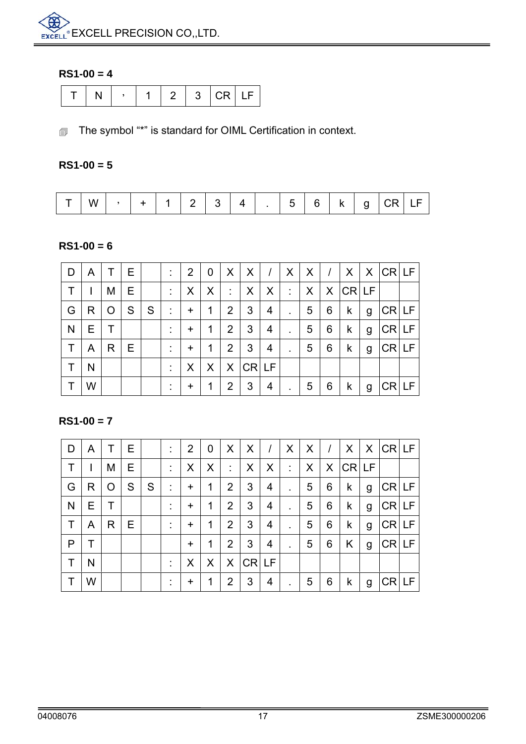#### **RS1-00 = 4**

| $\vert$ 3 $\vert$ CR $\vert$ LF |
|---------------------------------|
|---------------------------------|

The symbol "\*" is standard for OIML Certification in context.

#### **RS1-00 = 5**

#### **RS1-00 = 6**

| D | A |   | Е |   | $\blacksquare$ | 2         | 0            | X | X  | $\prime$       | X | X | $\prime$ | X     | X. |           | $ CR $ LF $ $ |
|---|---|---|---|---|----------------|-----------|--------------|---|----|----------------|---|---|----------|-------|----|-----------|---------------|
|   |   | M | Е |   | ٠              | X         | X            | ÷ | X  | X              | ÷ | X | X        | CR LF |    |           |               |
| G | R | O | S | S | ٠              | $\ddot{}$ | $\mathbf{1}$ | 2 | 3  | 4              |   | 5 | 6        | k     | g  | CR LF     |               |
| N | Е |   |   |   | ٠              | $\ddot{}$ | 1            | 2 | 3  | 4              |   | 5 | 6        | k     | g  | CR LF     |               |
| Τ | Α | R | Е |   | ٠              | $\ddot{}$ | 1            | 2 | 3  | $\overline{4}$ |   | 5 | 6        | k     | g  | <b>CR</b> | <b>LF</b>     |
| Τ | N |   |   |   |                | Χ         | X            | X | CR | LF             |   |   |          |       |    |           |               |
|   | W |   |   |   | ٠              | $\ddot{}$ | 1            | 2 | 3  | 4              |   | 5 | 6        | k     | g  | CR        | $'LF_1$       |

#### **RS1-00 = 7**

| D | A      |        | E. |   |   | 2         | 0 | X              | X     | $\prime$ | X | X | $\prime$ | X  | X   | CR LF               |      |
|---|--------|--------|----|---|---|-----------|---|----------------|-------|----------|---|---|----------|----|-----|---------------------|------|
| Τ |        | M      | Е  |   |   | X         | X | t.             | X     | X        | ÷ | X | X        | CR | LF. |                     |      |
| G | R      | O      | S  | S | ÷ | $\ddot{}$ | 1 | 2              | 3     | 4        |   | 5 | 6        | k  | g   | $ {\sf CR} $ LF $ $ |      |
| N | Е      | $\top$ |    |   |   | $\ddot{}$ | 1 | 2              | 3     | 4        |   | 5 | 6        | k  | g   | CR LF               |      |
| T | A      | R      | Е  |   |   | $\ddot{}$ | 1 | $\overline{2}$ | 3     | 4        |   | 5 | 6        | k  | g   | <b>CR</b>           | I LF |
| P | $\top$ |        |    |   |   | $\ddot{}$ | 1 | $\overline{2}$ | 3     | 4        |   | 5 | 6        | Κ  | g   | CR LF               |      |
| Τ | N      |        |    |   |   | X         | X | X              | CR LF |          |   |   |          |    |     |                     |      |
|   | W      |        |    |   |   | $\ddot{}$ | 1 | 2              | 3     | 4        |   | 5 | 6        | k  | g   | CR                  | LF I |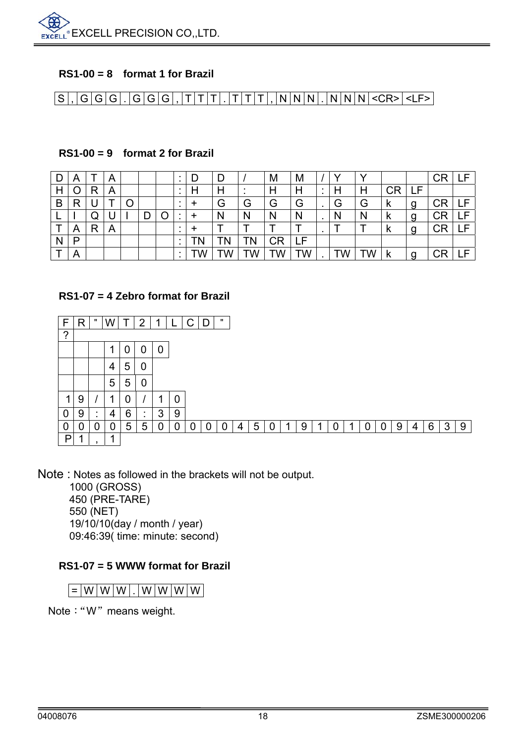#### **RS1-00 = 8 format 1 for Brazil**

## $[S], G[G]G].$   $[G]G[G], T[T]T].$   $[T|T], N[N]N].$   $[N]N] <$   $CR>$   $<$   $LE>$

#### **RS1-00 = 9 format 2 for Brazil**

| D | A |   | A |  |   | $\blacksquare$ |   |   |   | M  | М   |     |    |   |    |     | СR        |  |
|---|---|---|---|--|---|----------------|---|---|---|----|-----|-----|----|---|----|-----|-----------|--|
| Η | O | R | Α |  |   |                | Η | H |   | Н  | Н   |     | Н  | Н | CR | LΕ. |           |  |
| B | R |   |   |  |   | $\mathbf{r}$   |   | G | G | G  | G   |     | G  | G | K  | g   | <b>CR</b> |  |
|   |   | Q |   |  | O |                |   | N | N | N  | N   |     | N  |   | n  | a   | <b>CR</b> |  |
|   | Α | R | A |  |   | . .            |   |   |   |    |     | . . |    |   | N  | g   | <b>CR</b> |  |
| N | P |   |   |  |   |                |   |   |   | СR | ιF, |     |    |   |    |     |           |  |
|   | A |   |   |  |   | $\blacksquare$ | ™ |   | ™ | TW | TW  |     | TW | ™ |    | g   |           |  |

#### **RS1-07 = 4 Zebro format for Brazil**

| F                     | R |                                  | W               |   | ာ               | 1 |   | С | D | $\mathbf{H}$ |   |   |   |  |  |   |   |   |   |   |
|-----------------------|---|----------------------------------|-----------------|---|-----------------|---|---|---|---|--------------|---|---|---|--|--|---|---|---|---|---|
| $\boldsymbol{\gamma}$ |   |                                  |                 |   |                 |   |   |   |   |              |   |   |   |  |  |   |   |   |   |   |
|                       |   |                                  | ◢               | 0 | 0               | 0 |   |   |   |              |   |   |   |  |  |   |   |   |   |   |
|                       |   |                                  | 4               | 5 | 0               |   |   |   |   |              |   |   |   |  |  |   |   |   |   |   |
|                       |   |                                  | $5\overline{)}$ | 5 | 0               |   |   |   |   |              |   |   |   |  |  |   |   |   |   |   |
| ◢                     | 9 |                                  | 1               |   |                 | 1 | 0 |   |   |              |   |   |   |  |  |   |   |   |   |   |
| 0                     | 9 | $\blacksquare$<br>$\blacksquare$ | 4               | 6 | . .<br><b>A</b> | 3 | 9 |   |   |              |   |   |   |  |  |   |   |   |   |   |
| 0                     | 0 |                                  | 0               | 5 | 5               | U |   |   |   |              | 5 | C | 9 |  |  | 9 | 4 | 6 | 3 | 9 |
| P                     | и | п,                               | 1               |   |                 |   |   |   |   |              |   |   |   |  |  |   |   |   |   |   |

Note : Notes as followed in the brackets will not be output.

1000 (GROSS) 450 (PRE-TARE) 550 (NET) 19/10/10(day / month / year) 09:46:39( time: minute: second)

#### **RS1-07 = 5 WWW format for Brazil**

 $= W W W W$ . W W W W W

Note: "W" means weight.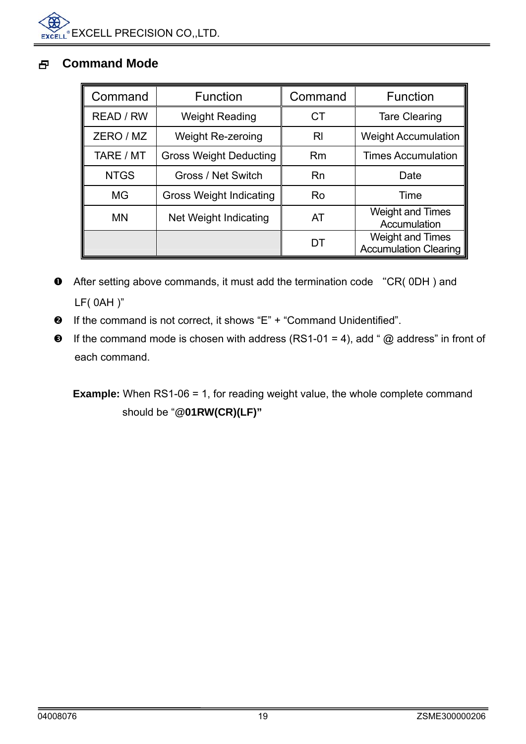#### **Command Mode**

| Command     | <b>Function</b>                | Command   | <b>Function</b>                                         |
|-------------|--------------------------------|-----------|---------------------------------------------------------|
| READ / RW   | <b>Weight Reading</b>          | <b>CT</b> | <b>Tare Clearing</b>                                    |
| ZERO / MZ   | <b>Weight Re-zeroing</b>       | RI        | <b>Weight Accumulation</b>                              |
| TARE / MT   | <b>Gross Weight Deducting</b>  | Rm        | <b>Times Accumulation</b>                               |
| <b>NTGS</b> | Gross / Net Switch             | Rn        | Date                                                    |
| <b>MG</b>   | <b>Gross Weight Indicating</b> | Ro        | Time                                                    |
| <b>MN</b>   | Net Weight Indicating          | AT        | <b>Weight and Times</b><br>Accumulation                 |
|             |                                | DT        | <b>Weight and Times</b><br><b>Accumulation Clearing</b> |

n After setting above commands, it must add the termination code "CR( 0DH ) and LF( 0AH )"

- o If the command is not correct, it shows "E" + "Command Unidentified".
- $\bullet$  If the command mode is chosen with address (RS1-01 = 4), add "  $\textcircled{a}$  address" in front of each command.

**Example:** When RS1-06 = 1, for reading weight value, the whole complete command should be "**@01RW(CR)(LF)"**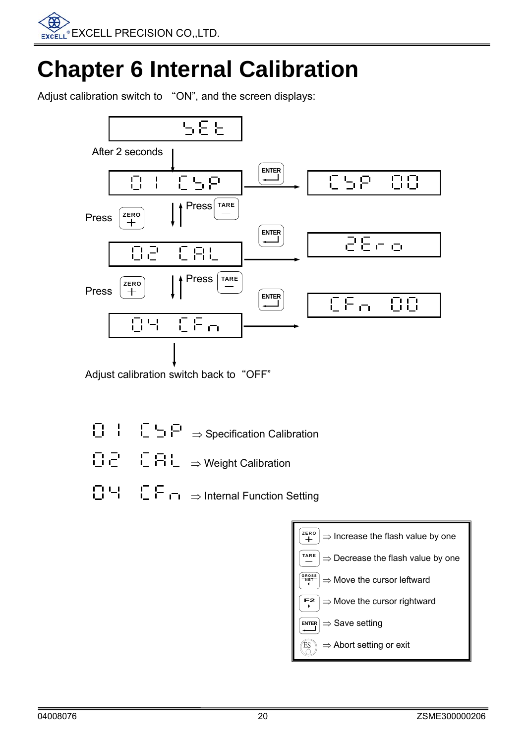# **Chapter 6 Internal Calibration**

Adjust calibration switch to "ON", and the screen displays:



- ⇒ Specification Calibration
- 日ご こ日L ⇒ Weight Calibration
- コ닉 [F<sub>ロ ⇒</sub> Internal Function Setting

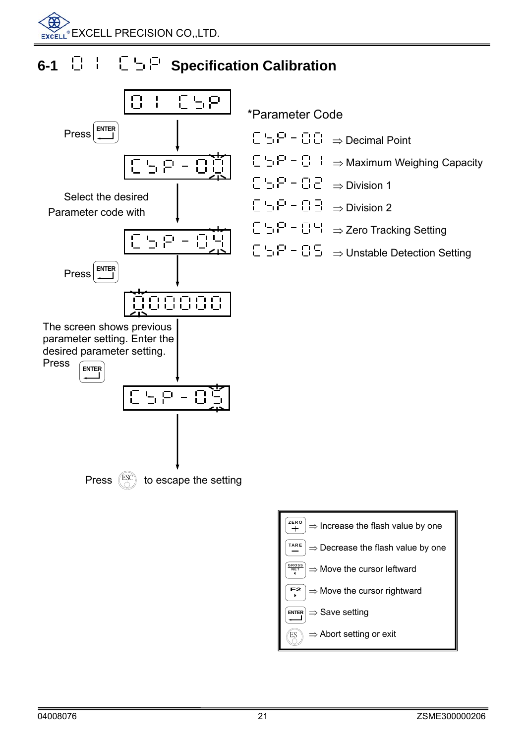## **6-1 日 上 日 Specification Calibration**

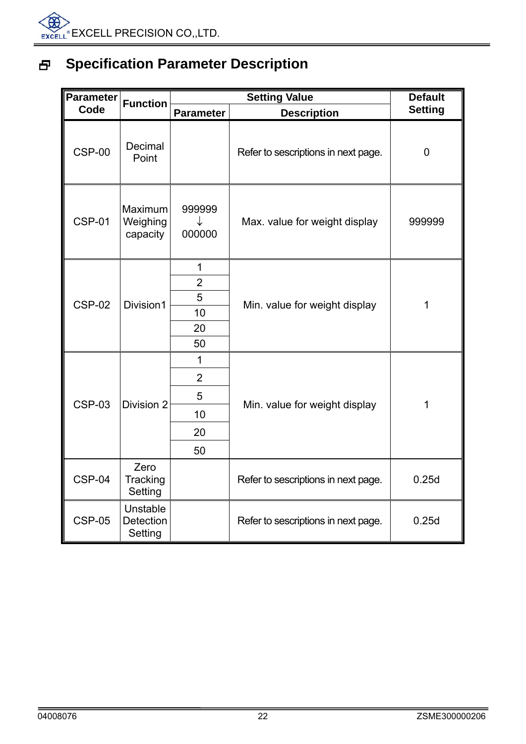

## **Specification Parameter Description**

| <b>Parameter</b> | <b>Function</b>                  |                       | <b>Setting Value</b>                | <b>Default</b> |  |
|------------------|----------------------------------|-----------------------|-------------------------------------|----------------|--|
| Code             |                                  | <b>Parameter</b>      | <b>Description</b>                  | <b>Setting</b> |  |
| CSP-00           | Decimal<br>Point                 |                       | Refer to sescriptions in next page. | $\mathbf 0$    |  |
| <b>CSP-01</b>    | Maximum<br>Weighing<br>capacity  | 999999<br>↓<br>000000 | Max. value for weight display       | 999999         |  |
|                  |                                  | 1                     |                                     |                |  |
|                  |                                  | $\overline{2}$        |                                     |                |  |
| CSP-02           | Division1                        | 5                     | Min. value for weight display       | 1              |  |
|                  |                                  | 10                    |                                     |                |  |
|                  |                                  | 20                    |                                     |                |  |
|                  |                                  | 50                    |                                     |                |  |
|                  |                                  | 1                     |                                     |                |  |
|                  |                                  | $\overline{2}$        |                                     |                |  |
| <b>CSP-03</b>    | Division 2                       | 5                     | Min. value for weight display       | $\mathbf 1$    |  |
|                  |                                  | 10                    |                                     |                |  |
|                  |                                  | 20                    |                                     |                |  |
|                  |                                  | 50                    |                                     |                |  |
| CSP-04           | Zero<br>Tracking<br>Setting      |                       | Refer to sescriptions in next page. | 0.25d          |  |
| <b>CSP-05</b>    | Unstable<br>Detection<br>Setting |                       | Refer to sescriptions in next page. | 0.25d          |  |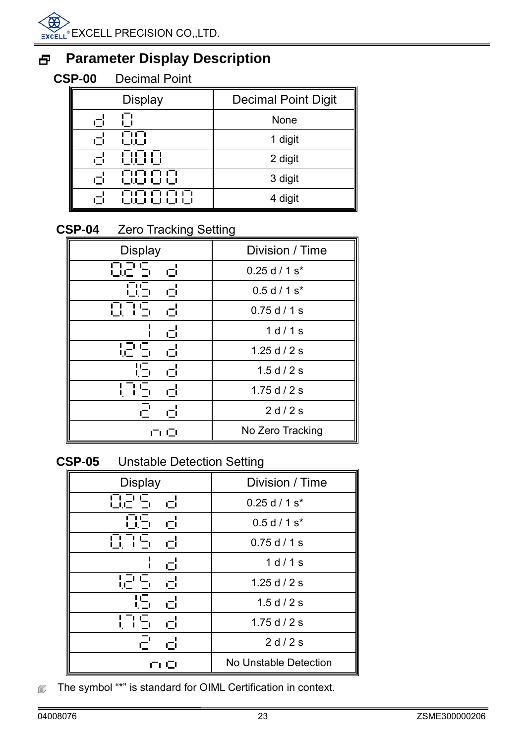## **Parameter Display Description**

- 
- **CSP-00** Decimal Point

| <b>Display</b> | <b>Decimal Point Digit</b> |
|----------------|----------------------------|
| Γİ             | None                       |
| П              | 1 digit                    |
| ıП             | 2 digit                    |
| ┌              | 3 digit                    |
|                | 4 digit                    |

## **CSP-04** Zero Tracking Setting

| <b>Display</b>          | Division / Time  |
|-------------------------|------------------|
| <u>02 S</u><br>립        | $0.25 d / 1 s*$  |
| ΩS<br>ď                 | $0.5 d / 1 s*$   |
| $\subseteq$<br><u>්</u> | 0.75 d/1 s       |
| Cί                      | 1 d/1 s          |
| 12 S<br>d               | 1.25 d / 2 s     |
| 厄<br>Œί                 | 1.5 d / 2 s      |
| 175<br>d                | 1.75 d / 2 s     |
| <u> 근</u><br>ď          | 2 d / 2 s        |
| டம                      | No Zero Tracking |

 **CSP-05** Unstable Detection Setting

| <b>Display</b>         | Division / Time       |
|------------------------|-----------------------|
| 825<br>d               | $0.25 d / 1 s*$       |
| 中亡<br>d<br>$L_{\perp}$ | $0.5 d / 1 s^*$       |
| 835<br>d               | 0.75 d/1 s            |
| d                      | 1 d/1 s               |
| 12 S<br>d              | 1.25 d / 2 s          |
| 悳<br>d                 | 1.5 d / 2 s           |
| 打雪<br>d                | 1.75 d / 2 s          |
| 근<br>d                 | 2 d / 2 s             |
| ים ה                   | No Unstable Detection |

**The symbol "\*" is standard for OIML Certification in context.**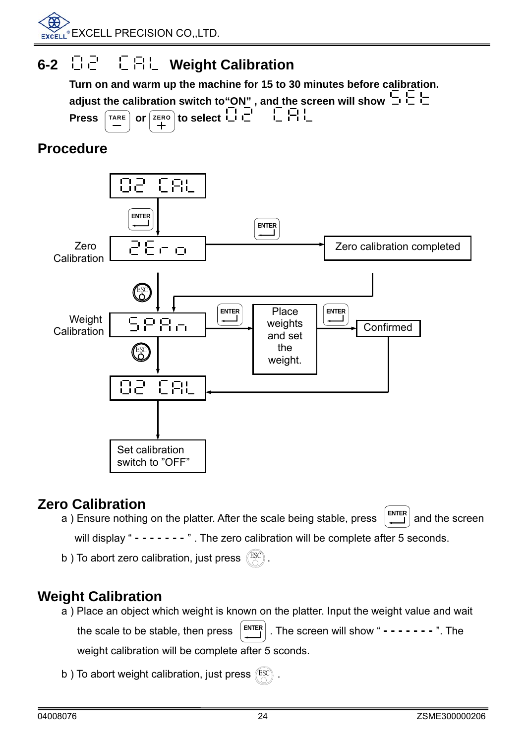

## 6-2 **G2 ERL Weight Calibration**

**Turn on and warm up the machine for 15 to 30 minutes before calibration. adjust the calibration switch to"ON"** , and the screen will show 「一」 F 81. **Press**  $|\text{TRE}|\text{ or }|\text{ZERO}|\text{ to select }$ 

## **Procedure**



## **Zero Calibration**

- a ) Ensure nothing on the platter. After the scale being stable, press  $\left| \begin{array}{c} \blacksquare \end{array} \right|$  and the screen will display " **- - - - - - -** " . The zero calibration will be complete after 5 seconds. **ENTER**
- b) To abort zero calibration, just press  $(\text{ESC})$ .

## **Weight Calibration**

- a ) Place an object which weight is known on the platter. Input the weight value and wait the scale to be stable, then press  $\left| \frac{\text{ENTER}}{\text{I}} \right|$ . The screen will show " - - - - - - - ". The weight calibration will be complete after 5 sconds.
- b ) To abort weight calibration, just press . ESC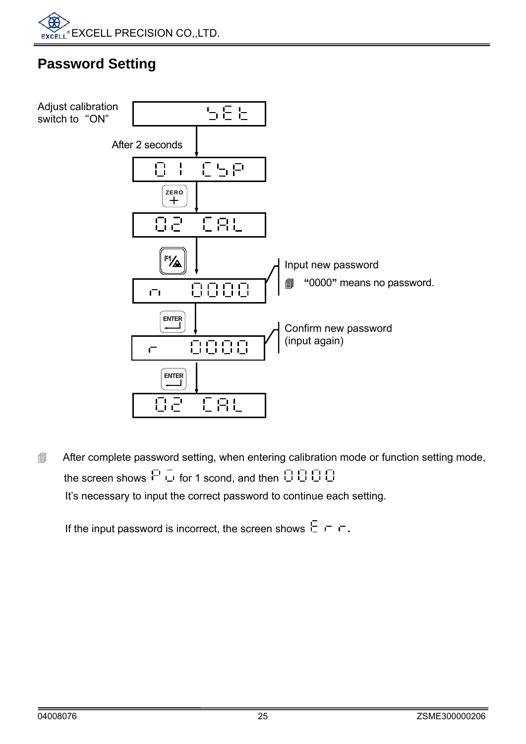## **Password Setting**



**■ After complete password setting, when entering calibration mode or function setting mode,** the screen shows  $\overline{F}$   $\overline{L}$  for 1 scond, and then  $\overline{G}$   $\overline{G}$   $\overline{G}$ It's necessary to input the correct password to continue each setting.

If the input password is incorrect, the screen shows  $\overline{\vdash}$   $\vdash$   $\vdash$   $\vdash$ .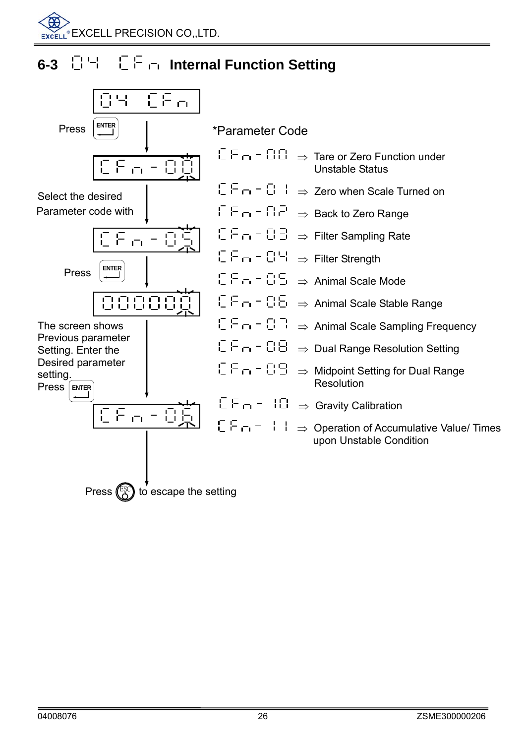## 6-3 **CH CF<sub>C</sub>** Internal Function Setting

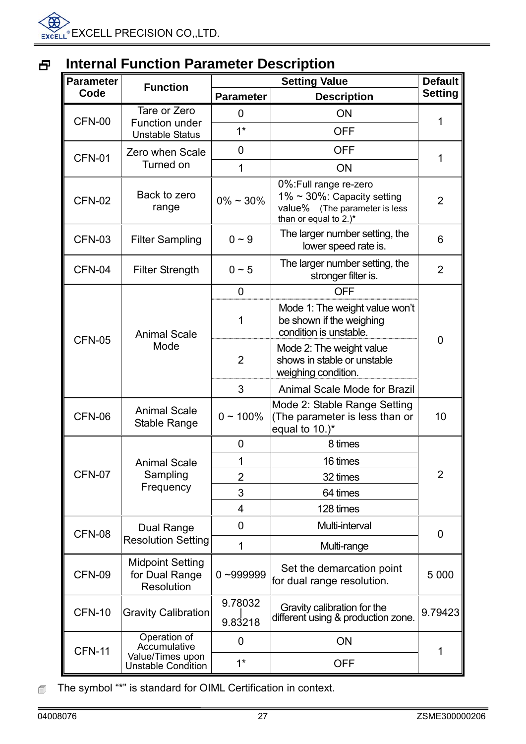

## **Internal Function Parameter Description**

| <b>Parameter</b> | <b>Function</b>                                                                               | <b>Setting Value</b> |                                                                                                                        | <b>Default</b> |  |
|------------------|-----------------------------------------------------------------------------------------------|----------------------|------------------------------------------------------------------------------------------------------------------------|----------------|--|
| Code             |                                                                                               | <b>Parameter</b>     | <b>Description</b>                                                                                                     | <b>Setting</b> |  |
|                  | Tare or Zero                                                                                  | 0                    | <b>ON</b>                                                                                                              | 1              |  |
| <b>CFN-00</b>    | Function under<br><b>Unstable Status</b>                                                      | $1*$                 | <b>OFF</b>                                                                                                             |                |  |
|                  | <b>Zero when Scale</b>                                                                        | 0                    | <b>OFF</b>                                                                                                             | 1              |  |
| <b>CFN-01</b>    | Turned on                                                                                     | 1                    | ON                                                                                                                     |                |  |
| <b>CFN-02</b>    | Back to zero<br>range                                                                         | $0\% \sim 30\%$      | 0%: Full range re-zero<br>$1\% \sim 30\%$ : Capacity setting<br>value% (The parameter is less<br>than or equal to 2.)* | $\overline{2}$ |  |
| <b>CFN-03</b>    | <b>Filter Sampling</b>                                                                        | $0 - 9$              | The larger number setting, the<br>lower speed rate is.                                                                 | 6              |  |
| CFN-04           | The larger number setting, the<br>$0 \sim 5$<br><b>Filter Strength</b><br>stronger filter is. |                      | $\overline{2}$                                                                                                         |                |  |
|                  |                                                                                               | 0                    | <b>OFF</b>                                                                                                             | $\overline{0}$ |  |
|                  | <b>Animal Scale</b>                                                                           | 1                    | Mode 1: The weight value won't<br>be shown if the weighing<br>condition is unstable.                                   |                |  |
| <b>CFN-05</b>    | Mode                                                                                          | $\overline{2}$       | Mode 2: The weight value<br>shows in stable or unstable<br>weighing condition.                                         |                |  |
|                  |                                                                                               | 3                    |                                                                                                                        |                |  |
| <b>CFN-06</b>    | <b>Animal Scale</b><br>Stable Range                                                           | $0 - 100\%$          | Mode 2: Stable Range Setting<br>(The parameter is less than or<br>equal to 10.)*                                       | 10             |  |
|                  |                                                                                               | 0                    | 8 times                                                                                                                |                |  |
|                  | <b>Animal Scale</b>                                                                           | 1                    | 16 times                                                                                                               |                |  |
| <b>CFN-07</b>    | Sampling                                                                                      | $\overline{2}$       | 32 times                                                                                                               | $\overline{2}$ |  |
|                  | Frequency                                                                                     | 3                    | 64 times                                                                                                               |                |  |
|                  |                                                                                               | 4                    | 128 times                                                                                                              |                |  |
| <b>CFN-08</b>    | Dual Range                                                                                    | 0                    | Multi-interval                                                                                                         | $\overline{0}$ |  |
|                  | <b>Resolution Setting</b>                                                                     | 1                    | Multi-range                                                                                                            |                |  |
| <b>CFN-09</b>    | <b>Midpoint Setting</b><br>$0 - 9999999$<br>for Dual Range<br>Resolution                      |                      | Set the demarcation point<br>for dual range resolution.                                                                | 5 0 0 0        |  |
| <b>CFN-10</b>    | <b>Gravity Calibration</b>                                                                    | 9.78032<br>9.83218   | Gravity calibration for the<br>different using & production zone.                                                      | 9.79423        |  |
| <b>CFN-11</b>    | Operation of<br>Accumulative                                                                  | 0                    | ON                                                                                                                     | 1              |  |
|                  | Value/Times upon<br><b>Unstable Condition</b>                                                 | $1*$<br><b>OFF</b>   |                                                                                                                        |                |  |

The symbol "\*" is standard for OIML Certification in context.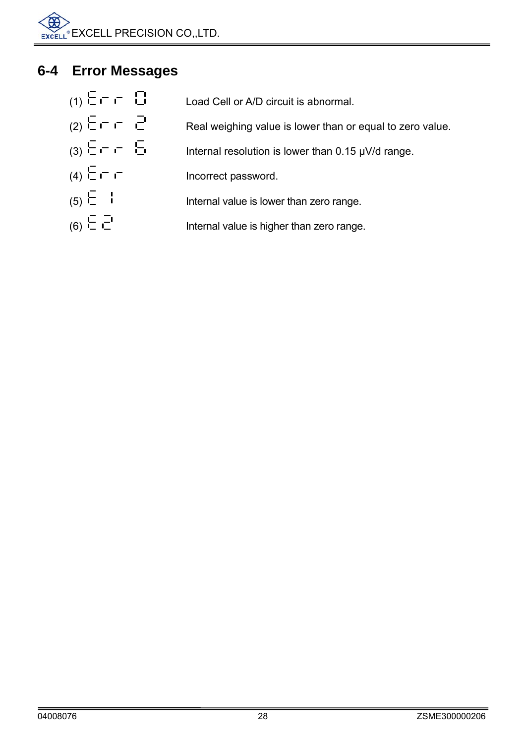## **6-4 Error Messages**

- 
- 
- (1)  $\overline{L}$   $\overline{L}$   $\overline{L}$   $\overline{L}$   $\overline{L}$  Load Cell or A/D circuit is abnormal.
- (2)  $\overline{L}$   $\overline{r}$   $\overline{r}$   $\overline{r}$   $\overline{r}$  Real weighing value is lower than or equal to zero value.
- (3)  $\overline{L}$   $\overline{L}$   $\overline{L}$   $\overline{L}$   $\overline{L}$   $\overline{L}$  internal resolution is lower than 0.15 μV/d range.
- (4)  $\overline{L}$   $\overline{L}$   $\overline{L}$   $\overline{L}$   $\overline{L}$  1000  $\overline{L}$  and  $\overline{L}$  and  $\overline{L}$  and  $\overline{L}$  and  $\overline{L}$  and  $\overline{L}$  and  $\overline{L}$  and  $\overline{L}$  and  $\overline{L}$  and  $\overline{L}$  and  $\overline{L}$  and  $\overline{L}$  and  $\overline{L}$  an
- $(5)$   $\overline{1}$  I<br>Internal value is lower than zero range.
- $(6)$   $\Box$   $\Box$  Internal value is higher than zero range.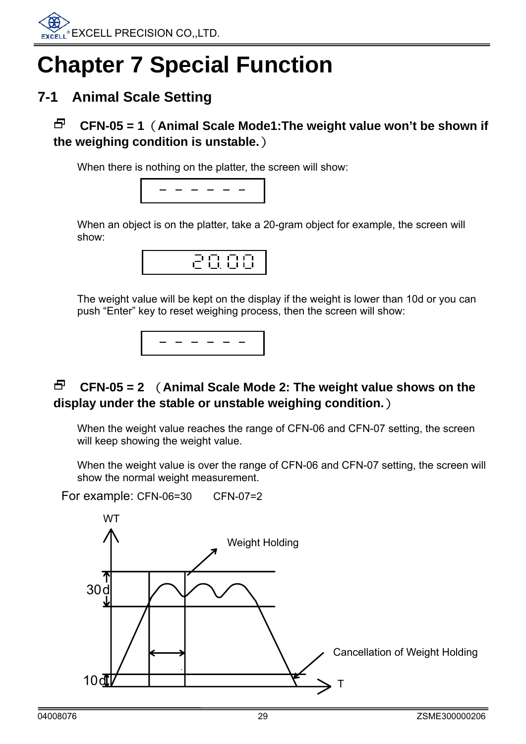# **Chapter 7 Special Function**

## **7-1 Animal Scale Setting**

## 2 **CFN-05 = 1** (**Animal Scale Mode1:The weight value won't be shown if the weighing condition is unstable.**)

When there is nothing on the platter, the screen will show:



When an object is on the platter, take a 20-gram object for example, the screen will show:

The weight value will be kept on the display if the weight is lower than 10d or you can push "Enter" key to reset weighing process, then the screen will show:



## 2 **CFN-05 = 2** (**Animal Scale Mode 2: The weight value shows on the display under the stable or unstable weighing condition.**)

When the weight value reaches the range of CFN-06 and CFN-07 setting, the screen will keep showing the weight value.

When the weight value is over the range of CFN-06 and CFN-07 setting, the screen will show the normal weight measurement.

For example: CFN-06=30 CFN-07=2

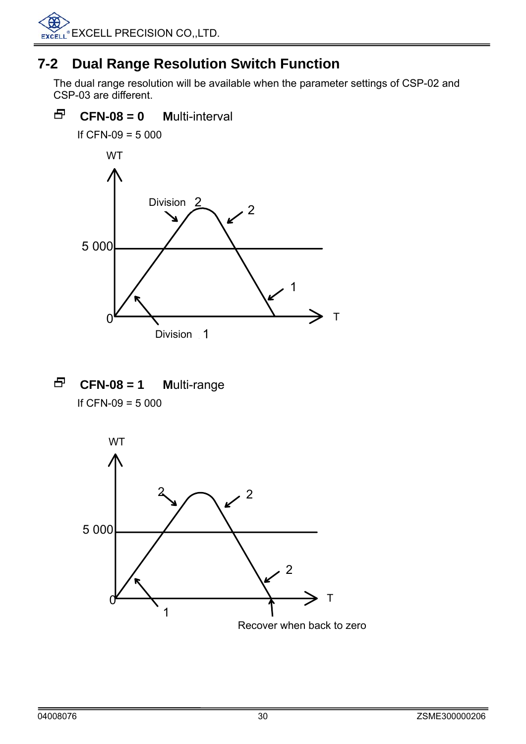## **7-2 Dual Range Resolution Switch Function**

The dual range resolution will be available when the parameter settings of CSP-02 and CSP-03 are different.

 $\overline{2}$  **CFN-08 = 0 Multi-interval** 



2 **CFN-08 = 1 M**ulti-range

If CFN-09 =  $5000$ 

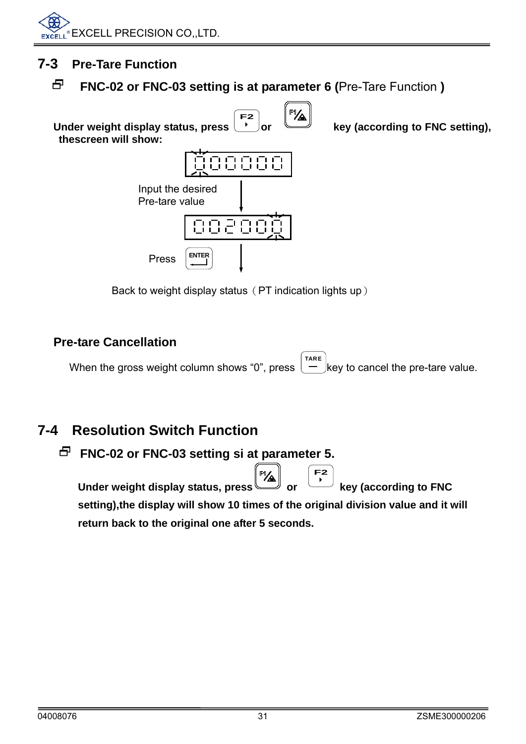## **7-3 Pre-Tare Function**

## 2 **FNC-02 or FNC-03 setting is at parameter 6 (**Pre-Tare Function **)**



Back to weight display status (PT indication lights up)

#### **Pre-tare Cancellation**

|                                                                                               | <b>TARE</b> |  |
|-----------------------------------------------------------------------------------------------|-------------|--|
| When the gross weight column shows "0", press $\Box$ $\Box$ key to cancel the pre-tare value. |             |  |

## **7-4 Resolution Switch Function**

## 2 **FNC-02 or FNC-03 setting si at parameter 5.**

**F2** F1⁄A  $\blacktriangleright$ Under weight display status, press or **b**  $\bullet$  key (according to FNC **setting),the display will show 10 times of the original division value and it will return back to the original one after 5 seconds.**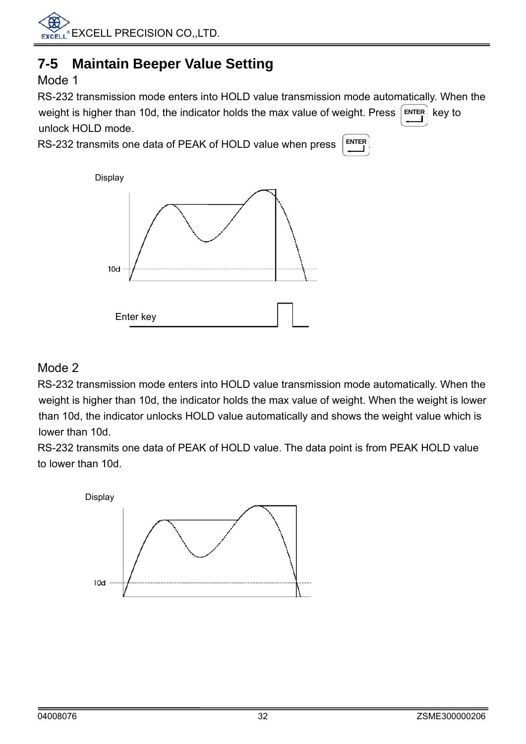## **7-5 Maintain Beeper Value Setting**

Mode 1

RS-232 transmission mode enters into HOLD value transmission mode automatically. When the weight is higher than 10d, the indicator holds the max value of weight. Press  $\vert$  ENTER key to unlock HOLD mode.

RS-232 transmits one data of PEAK of HOLD value when press **ENTER**



## Mode 2

RS-232 transmission mode enters into HOLD value transmission mode automatically. When the weight is higher than 10d, the indicator holds the max value of weight. When the weight is lower than 10d, the indicator unlocks HOLD value automatically and shows the weight value which is lower than 10d.

RS-232 transmits one data of PEAK of HOLD value. The data point is from PEAK HOLD value to lower than 10d.

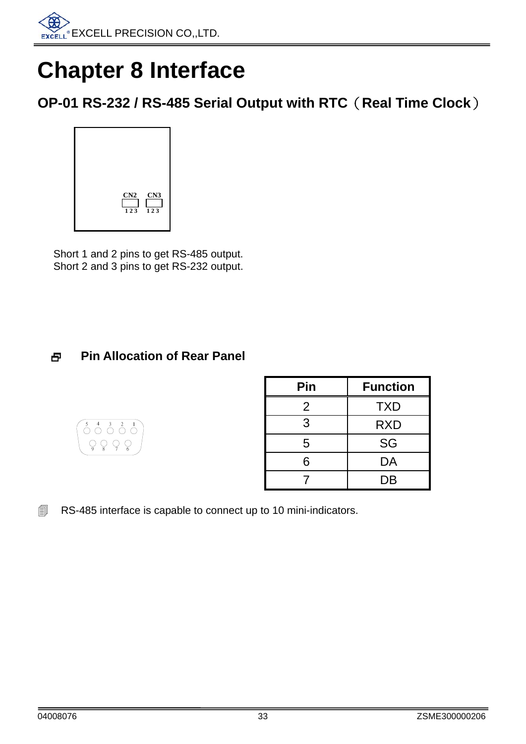# **Chapter 8 Interface**

## **OP-01 RS-232 / RS-485 Serial Output with RTC**(**Real Time Clock**)



Short 1 and 2 pins to get RS-485 output. Short 2 and 3 pins to get RS-232 output.

#### **Pin Allocation of Rear Panel**



| Pin | <b>Function</b> |
|-----|-----------------|
| 2   | <b>TXD</b>      |
| 3   | <b>RXD</b>      |
| 5   | SG              |
| 6   | DA              |
|     | DB              |

**<u>I</u>** RS-485 interface is capable to connect up to 10 mini-indicators.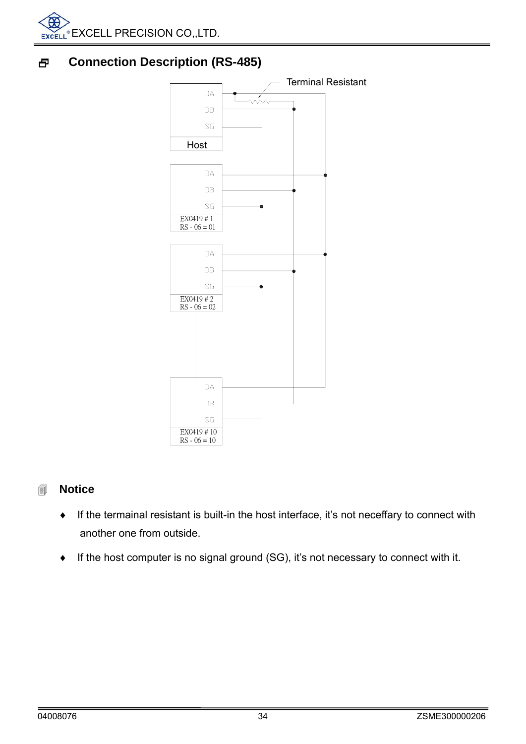

#### **Connection Description (RS-485)**



#### **Notice**

- ♦ If the termainal resistant is built-in the host interface, it's not neceffary to connect with another one from outside.
- If the host computer is no signal ground (SG), it's not necessary to connect with it.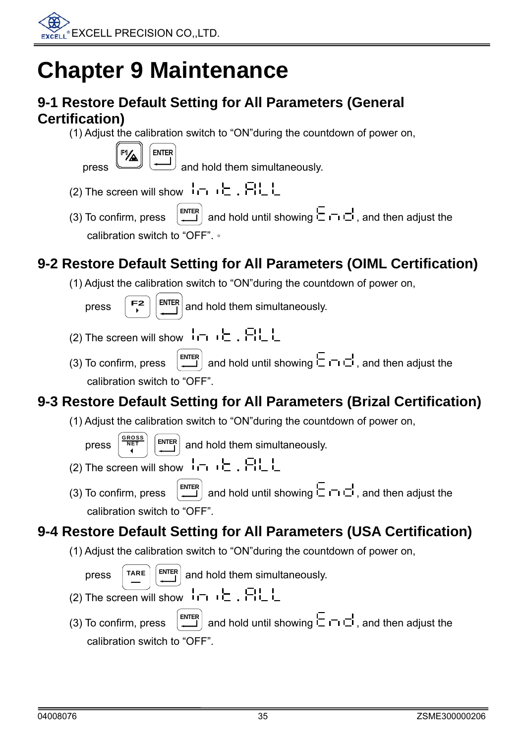# **Chapter 9 Maintenance**

## **9-1 Restore Default Setting for All Parameters (General Certification)**

(1) Adjust the calibration switch to "ON"during the countdown of power on,

| <b>ENTER</b><br>7A<br>and hold them simultaneously.<br>press                                                                                               |
|------------------------------------------------------------------------------------------------------------------------------------------------------------|
| (2) The screen will show $\mathbf{1}_{\square} \mathbf{1}_{\square} \subset \square$                                                                       |
| and hold until showing $\overline{\Box} \overline{\Box}$ , and then adjust the<br>(3) To confirm, press<br>calibration switch to "OFF". •                  |
| 9-2 Restore Default Setting for All Parameters (OIML Certification)                                                                                        |
| (1) Adjust the calibration switch to "ON" during the countdown of power on,                                                                                |
| <b>ENTER</b><br>F2<br>and hold them simultaneously.<br>press                                                                                               |
| (2) The screen will show $\mathbf{i} \cdot \mathbf{j} \cdot \mathbf{k}$ . Fill                                                                             |
| and hold until showing $\Box$ $\Box$ , and then adjust the<br>(3) To confirm, press<br>calibration switch to "OFF".                                        |
|                                                                                                                                                            |
| 9-3 Restore Default Setting for All Parameters (Brizal Certification)                                                                                      |
| (1) Adjust the calibration switch to "ON" during the countdown of power on,                                                                                |
| <b>GROSS</b><br>NET<br><b>ENTER</b><br>and hold them simultaneously.<br>press                                                                              |
| (2) The screen will show $\mathbf{1}_{\mathbf{I}}$ $\mathbf{1}_{\mathbf{I}}$ $\mathbf{1}_{\mathbf{I}}$ $\mathbf{1}_{\mathbf{I}}$ $\mathbf{1}_{\mathbf{I}}$ |
| and hold until showing $\overline{\Box} \overline{\Box}$ , and then adjust the<br>(3) To confirm, press                                                    |
| calibration switch to "OFF".                                                                                                                               |
| 9-4 Restore Default Setting for All Parameters (USA Certification)                                                                                         |
| (1) Adjust the calibration switch to "ON" during the countdown of power on,                                                                                |
| <b>ENTER</b><br>and hold them simultaneously.<br>TARE<br>press                                                                                             |
| (2) The screen will show $\mathbf{1} \cdot \mathbf{n} \cdot \mathbf{1}$ . FILL                                                                             |
| <b>ENTER</b><br>and hold until showing $\Box \Box$ , and then adjust the<br>(3) To confirm, press                                                          |
| calibration switch to "OFF".                                                                                                                               |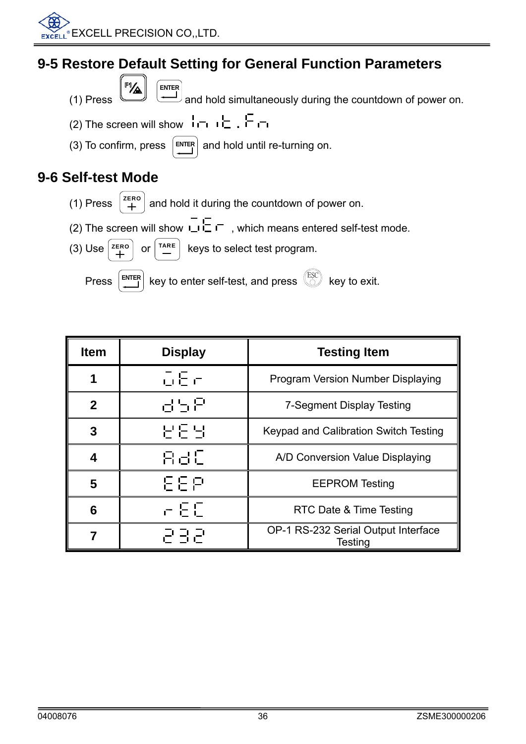## **9-5 Restore Default Setting for General Function Parameters**

- $\mathbb{P}V_{\!\Delta}$ **ENTER**  (1) Press  $\Box$  and hold simultaneously during the countdown of power on.
- (2) The screen will show **.**
- (3) To confirm, press  $\left| \frac{\text{ENTER}}{\text{P}} \right|$  and hold until re-turning on.

## **9-6 Self-test Mode**

- (1) Press  $\begin{bmatrix} \mathsf{z} \in \mathsf{R}^{\mathsf{o}} \\ + \end{bmatrix}$  and hold it during the countdown of power on.  $\begin{bmatrix} \mathsf{z}$ <sub>ERO</sub>
- (2) The screen will show  $\Box \Box \Box$ , which means entered self-test mode.
- (3) Use  $\begin{bmatrix} \mathsf{z} & \mathsf{ERO} \\ + \end{bmatrix}$  or  $\begin{bmatrix} \mathsf{TARE} \\ \end{bmatrix}$  keys to select test program.  $\overline{\text{or}}$  TARE

Press  $\begin{bmatrix} \text{ENTER} \\ \text{I} \end{bmatrix}$  key to enter self-test, and press  $\begin{bmatrix} \text{Esc} \\ \text{O} \end{bmatrix}$  key to exit.

| <b>Item</b> | <b>Display</b> | <b>Testing Item</b>                            |  |  |
|-------------|----------------|------------------------------------------------|--|--|
|             | 后日市            | <b>Program Version Number Displaying</b>       |  |  |
| $\mathbf 2$ | 급달문            | 7-Segment Display Testing                      |  |  |
| 3           | 본돈님            | Keypad and Calibration Switch Testing          |  |  |
| 4           | 吕己后            | A/D Conversion Value Displaying                |  |  |
| 5           | 56 P           | <b>EEPROM Testing</b>                          |  |  |
| 6           | 군 돈도           | RTC Date & Time Testing                        |  |  |
|             | ᆒᆏᆔ            | OP-1 RS-232 Serial Output Interface<br>Testing |  |  |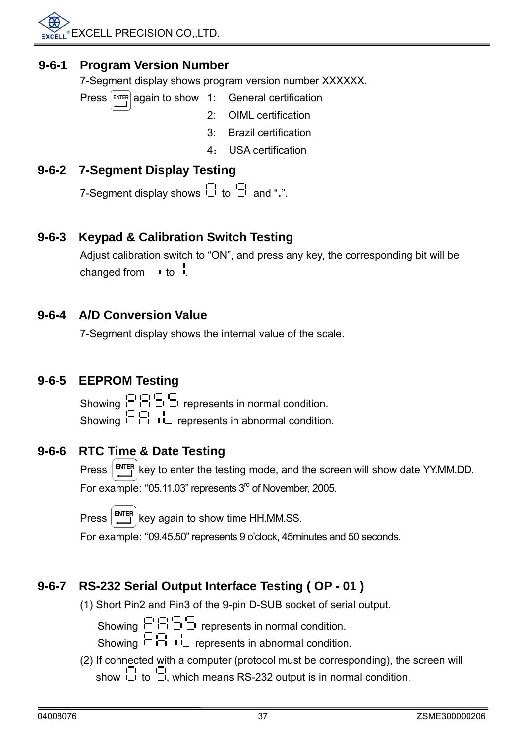#### **9-6-1 Program Version Number**

7-Segment display shows program version number XXXXXX.

- **Press ENTER again to show 1: General certification** 
	- 2: OIML certification
	- 3: Brazil certification
	- 4: USA certification

#### **9-6-2 7-Segment Display Testing**

7-Segment display shows  $\Box$  and ".".

#### **9-6-3 Keypad & Calibration Switch Testing**

 Adjust calibration switch to "ON", and press any key, the corresponding bit will be changed from  $\overline{\phantom{a}}$  to  $\overline{\phantom{a}}$ .

#### **9-6-4 A/D Conversion Value**

7-Segment display shows the internal value of the scale.

### **9-6-5 EEPROM Testing**

Showing  $\Box \Box \Box$  represents in normal condition. Showing  $\overline{F}$   $\overline{F}$   $\overline{F}$  is the presents in abnormal condition.

### **9-6-6 RTC Time & Date Testing**

Press  $\left| \frac{\text{ENTER}}{\text{I}} \right|$  key to enter the testing mode, and the screen will show date YY.MM.DD. For example: "05.11.03" represents 3<sup>rd</sup> of November, 2005.

**Press**  $\left| \_\_\_\right|$  key again to show time HH.MM.SS.

For example: "09.45.50" represents 9 o'clock, 45minutes and 50 seconds.

### **9-6-7 RS-232 Serial Output Interface Testing ( OP - 01 )**

(1) Short Pin2 and Pin3 of the 9-pin D-SUB socket of serial output.

Showing  $P P \subseteq \subseteq$  represents in normal condition.

Showing  $\overline{r}$   $\overline{r}$   $\overline{r}$   $\overline{r}$  is the presents in abnormal condition.

 (2) If connected with a computer (protocol must be corresponding), the screen will show  $\Box$  to  $\Box$ , which means RS-232 output is in normal condition.